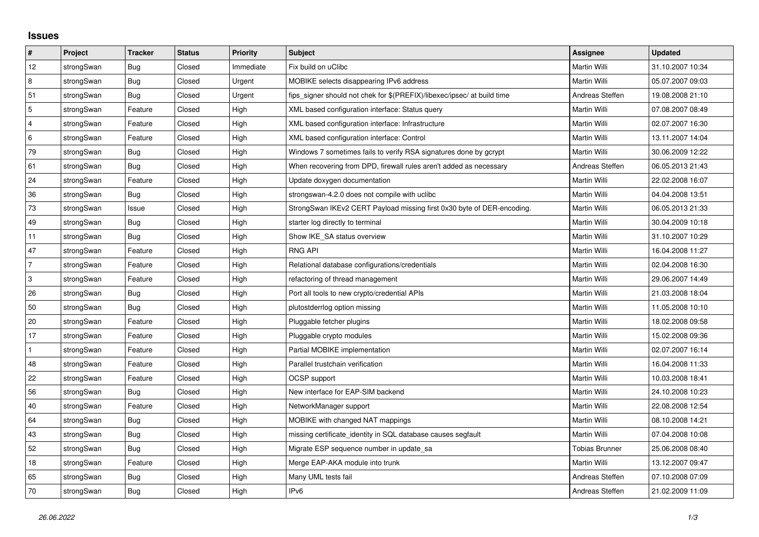## **Issues**

| #              | Project    | <b>Tracker</b> | <b>Status</b> | <b>Priority</b> | Subject                                                                 | <b>Assignee</b>       | <b>Updated</b>   |
|----------------|------------|----------------|---------------|-----------------|-------------------------------------------------------------------------|-----------------------|------------------|
| 12             | strongSwan | Bug            | Closed        | Immediate       | Fix build on uClibc                                                     | Martin Willi          | 31.10.2007 10:34 |
| 8              | strongSwan | Bug            | Closed        | Urgent          | MOBIKE selects disappearing IPv6 address                                | Martin Willi          | 05.07.2007 09:03 |
| 51             | strongSwan | Bug            | Closed        | Urgent          | fips_signer should not chek for \$(PREFIX)/libexec/ipsec/ at build time | Andreas Steffen       | 19.08.2008 21:10 |
| 5              | strongSwan | Feature        | Closed        | High            | XML based configuration interface: Status query                         | <b>Martin Willi</b>   | 07.08.2007 08:49 |
| $\overline{4}$ | strongSwan | Feature        | Closed        | High            | XML based configuration interface: Infrastructure                       | Martin Willi          | 02.07.2007 16:30 |
| 6              | strongSwan | Feature        | Closed        | High            | XML based configuration interface: Control                              | Martin Willi          | 13.11.2007 14:04 |
| 79             | strongSwan | Bug            | Closed        | High            | Windows 7 sometimes fails to verify RSA signatures done by gcrypt       | Martin Willi          | 30.06.2009 12:22 |
| 61             | strongSwan | Bug            | Closed        | High            | When recovering from DPD, firewall rules aren't added as necessary      | Andreas Steffen       | 06.05.2013 21:43 |
| 24             | strongSwan | Feature        | Closed        | High            | Update doxygen documentation                                            | Martin Willi          | 22.02.2008 16:07 |
| 36             | strongSwan | Bug            | Closed        | High            | strongswan-4.2.0 does not compile with uclibc                           | Martin Willi          | 04.04.2008 13:51 |
| 73             | strongSwan | Issue          | Closed        | High            | StrongSwan IKEv2 CERT Payload missing first 0x30 byte of DER-encoding.  | Martin Willi          | 06.05.2013 21:33 |
| 49             | strongSwan | Bug            | Closed        | High            | starter log directly to terminal                                        | Martin Willi          | 30.04.2009 10:18 |
| 11             | strongSwan | Bug            | Closed        | High            | Show IKE_SA status overview                                             | Martin Willi          | 31.10.2007 10:29 |
| 47             | strongSwan | Feature        | Closed        | High            | <b>RNG API</b>                                                          | Martin Willi          | 16.04.2008 11:27 |
| $\overline{7}$ | strongSwan | Feature        | Closed        | High            | Relational database configurations/credentials                          | Martin Willi          | 02.04.2008 16:30 |
| 3              | strongSwan | Feature        | Closed        | High            | refactoring of thread management                                        | Martin Willi          | 29.06.2007 14:49 |
| 26             | strongSwan | Bug            | Closed        | High            | Port all tools to new crypto/credential APIs                            | Martin Willi          | 21.03.2008 18:04 |
| 50             | strongSwan | Bug            | Closed        | High            | plutostderrlog option missing                                           | Martin Willi          | 11.05.2008 10:10 |
| 20             | strongSwan | Feature        | Closed        | High            | Pluggable fetcher plugins                                               | Martin Willi          | 18.02.2008 09:58 |
| 17             | strongSwan | Feature        | Closed        | High            | Pluggable crypto modules                                                | Martin Willi          | 15.02.2008 09:36 |
| $\mathbf{1}$   | strongSwan | Feature        | Closed        | High            | Partial MOBIKE implementation                                           | Martin Willi          | 02.07.2007 16:14 |
| 48             | strongSwan | Feature        | Closed        | High            | Parallel trustchain verification                                        | Martin Willi          | 16.04.2008 11:33 |
| 22             | strongSwan | Feature        | Closed        | High            | <b>OCSP</b> support                                                     | Martin Willi          | 10.03.2008 18:41 |
| 56             | strongSwan | Bug            | Closed        | High            | New interface for EAP-SIM backend                                       | Martin Willi          | 24.10.2008 10:23 |
| 40             | strongSwan | Feature        | Closed        | High            | NetworkManager support                                                  | Martin Willi          | 22.08.2008 12:54 |
| 64             | strongSwan | Bug            | Closed        | High            | MOBIKE with changed NAT mappings                                        | Martin Willi          | 08.10.2008 14:21 |
| 43             | strongSwan | Bug            | Closed        | High            | missing certificate_identity in SQL database causes segfault            | Martin Willi          | 07.04.2008 10:08 |
| 52             | strongSwan | Bug            | Closed        | High            | Migrate ESP sequence number in update_sa                                | <b>Tobias Brunner</b> | 25.06.2008 08:40 |
| 18             | strongSwan | Feature        | Closed        | High            | Merge EAP-AKA module into trunk                                         | Martin Willi          | 13.12.2007 09:47 |
| 65             | strongSwan | <b>Bug</b>     | Closed        | High            | Many UML tests fail                                                     | Andreas Steffen       | 07.10.2008 07:09 |
| 70             | strongSwan | Bug            | Closed        | High            | IP <sub>v6</sub>                                                        | Andreas Steffen       | 21.02.2009 11:09 |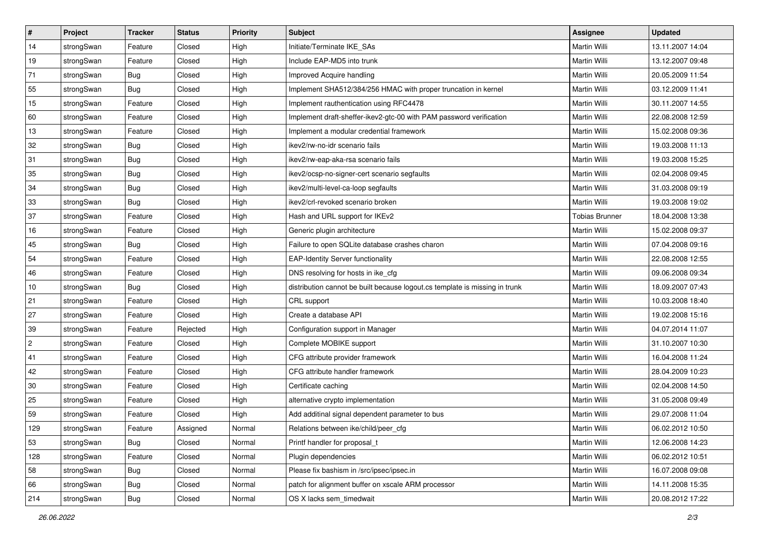| $\vert$ #      | Project    | <b>Tracker</b> | <b>Status</b> | <b>Priority</b> | <b>Subject</b>                                                              | Assignee              | <b>Updated</b>   |
|----------------|------------|----------------|---------------|-----------------|-----------------------------------------------------------------------------|-----------------------|------------------|
| 14             | strongSwan | Feature        | Closed        | High            | Initiate/Terminate IKE SAs                                                  | Martin Willi          | 13.11.2007 14:04 |
| 19             | strongSwan | Feature        | Closed        | High            | Include EAP-MD5 into trunk                                                  | <b>Martin Willi</b>   | 13.12.2007 09:48 |
| 71             | strongSwan | <b>Bug</b>     | Closed        | High            | Improved Acquire handling                                                   | Martin Willi          | 20.05.2009 11:54 |
| 55             | strongSwan | <b>Bug</b>     | Closed        | High            | Implement SHA512/384/256 HMAC with proper truncation in kernel              | Martin Willi          | 03.12.2009 11:41 |
| 15             | strongSwan | Feature        | Closed        | High            | Implement rauthentication using RFC4478                                     | Martin Willi          | 30.11.2007 14:55 |
| 60             | strongSwan | Feature        | Closed        | High            | Implement draft-sheffer-ikev2-gtc-00 with PAM password verification         | Martin Willi          | 22.08.2008 12:59 |
| 13             | strongSwan | Feature        | Closed        | High            | Implement a modular credential framework                                    | Martin Willi          | 15.02.2008 09:36 |
| 32             | strongSwan | Bug            | Closed        | High            | ikev2/rw-no-idr scenario fails                                              | Martin Willi          | 19.03.2008 11:13 |
| 31             | strongSwan | Bug            | Closed        | High            | ikev2/rw-eap-aka-rsa scenario fails                                         | Martin Willi          | 19.03.2008 15:25 |
| 35             | strongSwan | Bug            | Closed        | High            | ikev2/ocsp-no-signer-cert scenario segfaults                                | Martin Willi          | 02.04.2008 09:45 |
| 34             | strongSwan | Bug            | Closed        | High            | ikev2/multi-level-ca-loop segfaults                                         | Martin Willi          | 31.03.2008 09:19 |
| 33             | strongSwan | <b>Bug</b>     | Closed        | High            | ikev2/crl-revoked scenario broken                                           | Martin Willi          | 19.03.2008 19:02 |
| 37             | strongSwan | Feature        | Closed        | High            | Hash and URL support for IKEv2                                              | <b>Tobias Brunner</b> | 18.04.2008 13:38 |
| 16             | strongSwan | Feature        | Closed        | High            | Generic plugin architecture                                                 | Martin Willi          | 15.02.2008 09:37 |
| 45             | strongSwan | Bug            | Closed        | High            | Failure to open SQLite database crashes charon                              | <b>Martin Willi</b>   | 07.04.2008 09:16 |
| 54             | strongSwan | Feature        | Closed        | High            | <b>EAP-Identity Server functionality</b>                                    | Martin Willi          | 22.08.2008 12:55 |
| 46             | strongSwan | Feature        | Closed        | High            | DNS resolving for hosts in ike_cfg                                          | <b>Martin Willi</b>   | 09.06.2008 09:34 |
| 10             | strongSwan | Bug            | Closed        | High            | distribution cannot be built because logout.cs template is missing in trunk | Martin Willi          | 18.09.2007 07:43 |
| 21             | strongSwan | Feature        | Closed        | High            | CRL support                                                                 | Martin Willi          | 10.03.2008 18:40 |
| 27             | strongSwan | Feature        | Closed        | High            | Create a database API                                                       | Martin Willi          | 19.02.2008 15:16 |
| 39             | strongSwan | Feature        | Rejected      | High            | Configuration support in Manager                                            | Martin Willi          | 04.07.2014 11:07 |
| $\overline{2}$ | strongSwan | Feature        | Closed        | High            | Complete MOBIKE support                                                     | Martin Willi          | 31.10.2007 10:30 |
| 41             | strongSwan | Feature        | Closed        | High            | CFG attribute provider framework                                            | Martin Willi          | 16.04.2008 11:24 |
| 42             | strongSwan | Feature        | Closed        | High            | CFG attribute handler framework                                             | Martin Willi          | 28.04.2009 10:23 |
| 30             | strongSwan | Feature        | Closed        | High            | Certificate caching                                                         | Martin Willi          | 02.04.2008 14:50 |
| 25             | strongSwan | Feature        | Closed        | High            | alternative crypto implementation                                           | Martin Willi          | 31.05.2008 09:49 |
| 59             | strongSwan | Feature        | Closed        | High            | Add additinal signal dependent parameter to bus                             | Martin Willi          | 29.07.2008 11:04 |
| 129            | strongSwan | Feature        | Assigned      | Normal          | Relations between ike/child/peer_cfg                                        | Martin Willi          | 06.02.2012 10:50 |
| 53             | strongSwan | Bug            | Closed        | Normal          | Printf handler for proposal t                                               | Martin Willi          | 12.06.2008 14:23 |
| 128            | strongSwan | Feature        | Closed        | Normal          | Plugin dependencies                                                         | Martin Willi          | 06.02.2012 10:51 |
| 58             | strongSwan | Bug            | Closed        | Normal          | Please fix bashism in /src/ipsec/ipsec.in                                   | Martin Willi          | 16.07.2008 09:08 |
| 66             | strongSwan | Bug            | Closed        | Normal          | patch for alignment buffer on xscale ARM processor                          | Martin Willi          | 14.11.2008 15:35 |
| 214            | strongSwan | <b>Bug</b>     | Closed        | Normal          | OS X lacks sem_timedwait                                                    | Martin Willi          | 20.08.2012 17:22 |